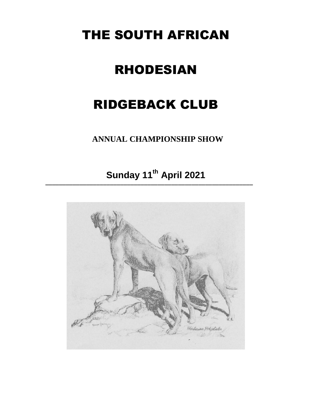# THE SOUTH AFRICAN

# RHODESIAN

## RIDGEBACK CLUB

#### **ANNUAL CHAMPIONSHIP SHOW**

## **Sunday 11th April 2021**

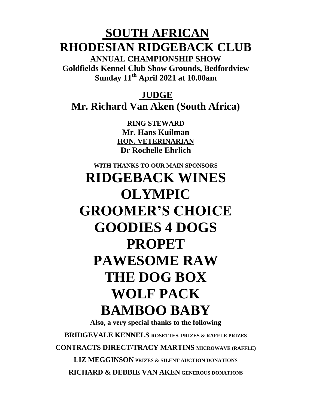## **SOUTH AFRICAN RHODESIAN RIDGEBACK CLUB**

**ANNUAL CHAMPIONSHIP SHOW Goldfields Kennel Club Show Grounds, Bedfordview Sunday 11th April 2021 at 10.00am**

**JUDGE Mr. Richard Van Aken (South Africa)**

> **RING STEWARD Mr. Hans Kuilman HON. VETERINARIAN Dr Rochelle Ehrlich**

# **WITH THANKS TO OUR MAIN SPONSORS RIDGEBACK WINES OLYMPIC GROOMER'S CHOICE GOODIES 4 DOGS PROPET PAWESOME RAW THE DOG BOX WOLF PACK BAMBOO BABY**

**Also, a very special thanks to the following BRIDGEVALE KENNELS ROSETTES, PRIZES & RAFFLE PRIZES CONTRACTS DIRECT/TRACY MARTINS MICROWAVE (RAFFLE) LIZ MEGGINSON PRIZES & SILENT AUCTION DONATIONS RICHARD & DEBBIE VAN AKEN GENEROUS DONATIONS**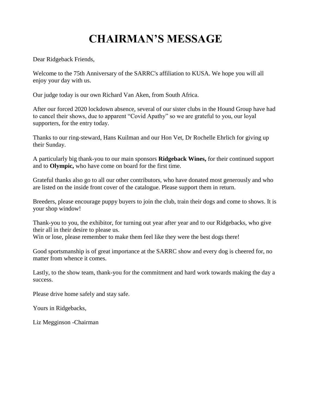## **CHAIRMAN'S MESSAGE**

Dear Ridgeback Friends,

Welcome to the 75th Anniversary of the SARRC's affiliation to KUSA. We hope you will all enjoy your day with us.

Our judge today is our own Richard Van Aken, from South Africa.

After our forced 2020 lockdown absence, several of our sister clubs in the Hound Group have had to cancel their shows, due to apparent "Covid Apathy" so we are grateful to you, our loyal supporters, for the entry today.

Thanks to our ring-steward, Hans Kuilman and our Hon Vet, Dr Rochelle Ehrlich for giving up their Sunday.

A particularly big thank-you to our main sponsors **Ridgeback Wines,** for their continued support and to **Olympic,** who have come on board for the first time.

Grateful thanks also go to all our other contributors, who have donated most generously and who are listed on the inside front cover of the catalogue. Please support them in return.

Breeders, please encourage puppy buyers to join the club, train their dogs and come to shows. It is your shop window!

Thank-you to you, the exhibitor, for turning out year after year and to our Ridgebacks, who give their all in their desire to please us.

Win or lose, please remember to make them feel like they were the best dogs there!

Good sportsmanship is of great importance at the SARRC show and every dog is cheered for, no matter from whence it comes.

Lastly, to the show team, thank-you for the commitment and hard work towards making the day a success.

Please drive home safely and stay safe.

Yours in Ridgebacks,

Liz Megginson -Chairman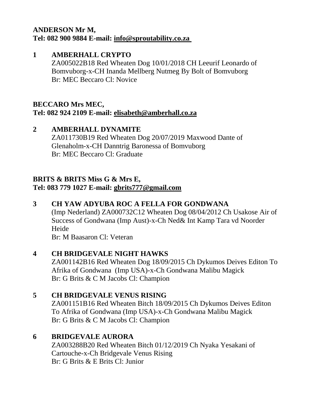#### **ANDERSON Mr M, Tel: 082 900 9884 E-mail: [info@sproutability.co.za](mailto:info@sproutability.co.za)**

**1 AMBERHALL CRYPTO** ZA005022B18 Red Wheaten Dog 10/01/2018 CH Leeurif Leonardo of Bomvuborg-x-CH Inanda Mellberg Nutmeg By Bolt of Bomvuborg Br: MEC Beccaro Cl: Novice

#### **BECCARO Mrs MEC, Tel: 082 924 2109 E-mail: [elisabeth@amberhall.co.za](mailto:elisabeth@amberhall.co.za)**

#### **2 AMBERHALL DYNAMITE**

ZA011730B19 Red Wheaten Dog 20/07/2019 Maxwood Dante of Glenaholm-x-CH Danntrig Baronessa of Bomvuborg Br: MEC Beccaro Cl: Graduate

#### **BRITS & BRITS Miss G & Mrs E, Tel: 083 779 1027 E-mail: [gbrits777@gmail.com](mailto:gbrits777@gmail.com)**

#### **3 CH YAW ADYUBA ROC A FELLA FOR GONDWANA**

(Imp Nederland) ZA000732C12 Wheaten Dog 08/04/2012 Ch Usakose Air of Success of Gondwana (Imp Aust)-x-Ch Ned& Int Kamp Tara vd Noorder **Heide** 

Br: M Baasaron Cl: Veteran

#### **4 CH BRIDGEVALE NIGHT HAWKS**

ZA001142B16 Red Wheaten Dog 18/09/2015 Ch Dykumos Deives Editon To Afrika of Gondwana (Imp USA)-x-Ch Gondwana Malibu Magick Br: G Brits & C M Jacobs Cl: Champion

#### **5 CH BRIDGEVALE VENUS RISING**

ZA001151B16 Red Wheaten Bitch 18/09/2015 Ch Dykumos Deives Editon To Afrika of Gondwana (Imp USA)-x-Ch Gondwana Malibu Magick Br: G Brits & C M Jacobs Cl: Champion

#### **6 BRIDGEVALE AURORA**

ZA003288B20 Red Wheaten Bitch 01/12/2019 Ch Nyaka Yesakani of Cartouche-x-Ch Bridgevale Venus Rising Br: G Brits & E Brits Cl: Junior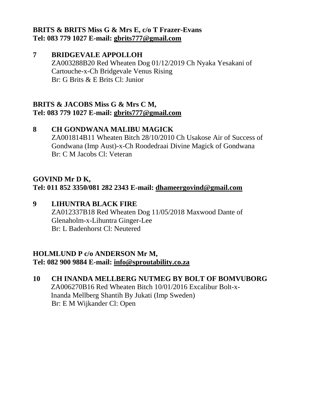#### **BRITS & BRITS Miss G & Mrs E, c/o T Frazer-Evans Tel: 083 779 1027 E-mail: [gbrits777@gmail.com](mailto:gbrits777@gmail.com)**

**7 BRIDGEVALE APPOLLOH** ZA003288B20 Red Wheaten Dog 01/12/2019 Ch Nyaka Yesakani of Cartouche-x-Ch Bridgevale Venus Rising Br: G Brits & E Brits Cl: Junior

#### **BRITS & JACOBS Miss G & Mrs C M, Tel: 083 779 1027 E-mail: [gbrits777@gmail.com](mailto:gbrits777@gmail.com)**

**8 CH GONDWANA MALIBU MAGICK**  ZA001814B11 Wheaten Bitch 28/10/2010 Ch Usakose Air of Success of Gondwana (Imp Aust)-x-Ch Roodedraai Divine Magick of Gondwana Br: C M Jacobs Cl: Veteran

#### **GOVIND Mr D K, Tel: 011 852 3350/081 282 2343 E-mail: [dhameergovind@gmail.com](mailto:dhameergovind@gmail.com)**

**9 LIHUNTRA BLACK FIRE** ZA012337B18 Red Wheaten Dog 11/05/2018 Maxwood Dante of Glenaholm-x-Lihuntra Ginger-Lee Br: L Badenhorst Cl: Neutered

#### **HOLMLUND P c/o ANDERSON Mr M, Tel: 082 900 9884 E-mail: [info@sproutability.co.za](mailto:info@sproutability.co.za)**

**10 CH INANDA MELLBERG NUTMEG BY BOLT OF BOMVUBORG** ZA006270B16 Red Wheaten Bitch 10/01/2016 Excalibur Bolt-x- Inanda Mellberg Shantih By Jukati (Imp Sweden) Br: E M Wijkander Cl: Open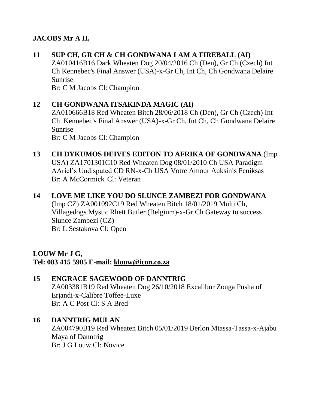#### **JACOBS Mr A H,**

#### **11 SUP CH, GR CH & CH GONDWANA I AM A FIREBALL (AI)**

ZA010416B16 Dark Wheaten Dog 20/04/2016 Ch (Den), Gr Ch (Czech) Int Ch Kennebec's Final Answer (USA)-x-Gr Ch, Int Ch, Ch Gondwana Delaire Sunrise

Br: C M Jacobs Cl: Champion

#### **12 CH GONDWANA ITSAKINDA MAGIC (AI)** ZA010666B18 Red Wheaten Bitch 28/06/2018 Ch (Den), Gr Ch (Czech) Int Ch Kennebec's Final Answer (USA)-x-Gr Ch, Int Ch, Ch Gondwana Delaire Sunrise Br: C M Jacobs Cl: Champion

#### **13 CH DYKUMOS DEIVES EDITON TO AFRIKA OF GONDWANA** (Imp

USA) ZA1701301C10 Red Wheaten Dog 08/01/2010 Ch USA Paradigm AAriel's Undisputed CD RN-x-Ch USA Votre Amour Auksinis Feniksas Br: A McCormick Cl: Veteran

#### **14 LOVE ME LIKE YOU DO SLUNCE ZAMBEZI FOR GONDWANA**

(Imp CZ) ZA001092C19 Red Wheaten Bitch 18/01/2019 Multi Ch, Villagedogs Mystic Rhett Butler (Belgium)-x-Gr Ch Gateway to success Slunce Zambezi (CZ) Br: L Sestakova Cl: Open

#### **LOUW Mr J G, Tel: 083 415 5905 E-mail: [klouw@icon.co.za](mailto:klouw@icon.co.za)**

#### **15 ENGRACE SAGEWOOD OF DANNTRIG**  ZA003381B19 Red Wheaten Dog 26/10/2018 Excalibur Zouga Pnsha of

Erjandi-x-Calibre Toffee-Luxe Br: A C Post Cl: S A Bred

#### **16 DANNTRIG MULAN**

ZA004790B19 Red Wheaten Bitch 05/01/2019 Berlon Mtassa-Tassa-x-Ajabu Maya of Danntrig Br: J G Louw Cl: Novice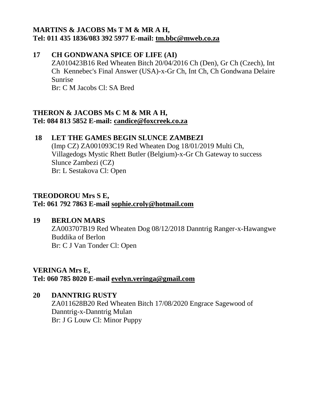#### **MARTINS & JACOBS Ms T M & MR A H, Tel: 011 435 1836/083 392 5977 E-mail: [tm.bbc@mweb.co.za](mailto:tm.bbc@mweb.co.za)**

#### **17 CH GONDWANA SPICE OF LIFE (AI)**

ZA010423B16 Red Wheaten Bitch 20/04/2016 Ch (Den), Gr Ch (Czech), Int Ch Kennebec's Final Answer (USA)-x-Gr Ch, Int Ch, Ch Gondwana Delaire Sunrise Br: C M Jacobs Cl: SA Bred

#### **THERON & JACOBS Ms C M & MR A H, Tel: 084 813 5852 E-mail: candice@foxcreek.co.za**

#### **18 LET THE GAMES BEGIN SLUNCE ZAMBEZI**

(Imp CZ) ZA001093C19 Red Wheaten Dog 18/01/2019 Multi Ch, Villagedogs Mystic Rhett Butler (Belgium)-x-Gr Ch Gateway to success Slunce Zambezi (CZ) Br: L Sestakova Cl: Open

#### **TREODOROU Mrs S E, Tel: 061 792 7863 E-mail [sophie.croly@hotmail.com](mailto:sophie.croly@hotmail.com)**

#### **19 BERLON MARS**

ZA003707B19 Red Wheaten Dog 08/12/2018 Danntrig Ranger-x-Hawangwe Buddika of Berlon Br: C J Van Tonder Cl: Open

#### **VERINGA Mrs E, Tel: 060 785 8020 E-mail [evelyn.veringa@gmail.com](mailto:evelyn.veringa@gmail.com)**

#### **20 DANNTRIG RUSTY**

ZA011628B20 Red Wheaten Bitch 17/08/2020 Engrace Sagewood of Danntrig-x-Danntrig Mulan Br: J G Louw Cl: Minor Puppy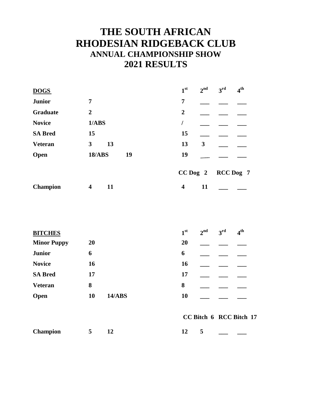## **THE SOUTH AFRICAN RHODESIAN RIDGEBACK CLUB ANNUAL CHAMPIONSHIP SHOW 2021 RESULTS**

|                               |                         | 2 <sup>nd</sup> | 3 <sup>rd</sup> | 4 <sup>th</sup> |
|-------------------------------|-------------------------|-----------------|-----------------|-----------------|
| 7                             | 7                       |                 |                 |                 |
| $\overline{2}$                | $\overline{2}$          |                 |                 |                 |
| 1/ABS                         |                         |                 |                 |                 |
| 15                            | 15                      |                 |                 |                 |
| 3<br>13                       | 13                      | 3               |                 |                 |
| 19<br><b>18/ABS</b>           | 19                      |                 |                 |                 |
|                               |                         |                 |                 |                 |
| $\overline{\mathbf{4}}$<br>11 | $\overline{\mathbf{4}}$ | 11              |                 |                 |
|                               |                         | 1 <sup>st</sup> | $CC$ Dog $2$    | RCC Dog 7       |

| <b>BITCHES</b>     |    |               | 1 <sup>st</sup> | $2^{nd}$ | 3 <sup>rd</sup> | 4 <sup>th</sup> |
|--------------------|----|---------------|-----------------|----------|-----------------|-----------------|
| <b>Minor Puppy</b> | 20 |               | 20              |          |                 |                 |
| <b>Junior</b>      | 6  |               | 6               |          |                 |                 |
| <b>Novice</b>      | 16 |               | <b>16</b>       |          |                 |                 |
| <b>SA Bred</b>     | 17 |               | 17              |          |                 |                 |
| <b>Veteran</b>     | 8  |               | 8               |          |                 |                 |
| Open               | 10 | <b>14/ABS</b> | <b>10</b>       |          |                 |                 |

|                 |  |           | CC Bitch 6 RCC Bitch 17 |  |
|-----------------|--|-----------|-------------------------|--|
| <b>Champion</b> |  | <b>12</b> |                         |  |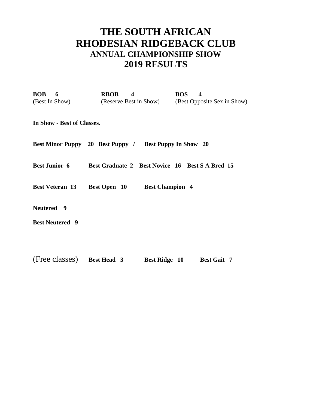## **THE SOUTH AFRICAN RHODESIAN RIDGEBACK CLUB ANNUAL CHAMPIONSHIP SHOW 2019 RESULTS**

| <b>BOB</b><br>6<br>(Best In Show) | <b>RBOB</b><br>4                                       | <b>BOS</b><br>4<br>(Reserve Best in Show) (Best Opposite Sex in Show) |
|-----------------------------------|--------------------------------------------------------|-----------------------------------------------------------------------|
| In Show - Best of Classes.        |                                                        |                                                                       |
|                                   | Best Minor Puppy 20 Best Puppy / Best Puppy In Show 20 |                                                                       |
|                                   |                                                        | <b>Best Junior 6</b> Best Graduate 2 Best Novice 16 Best S A Bred 15  |
|                                   | <b>Best Veteran 13</b> Best Open 10                    | <b>Best Champion 4</b>                                                |
| Neutered 9                        |                                                        |                                                                       |
| <b>Best Neutered 9</b>            |                                                        |                                                                       |
|                                   |                                                        |                                                                       |
|                                   | (Free classes) Best Head 3                             | <b>Best Ridge</b> 10<br><b>Best Gait 7</b>                            |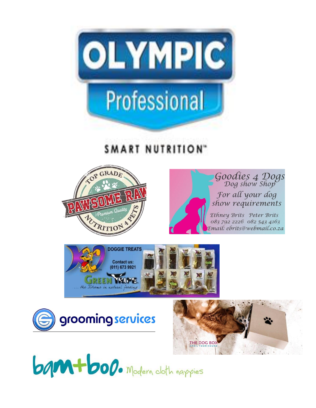

## SMART NUTRITION"





Ethney Brits Peter Brits 083 792 2226 082 543 4163 Email: ebrits@webmail.co.za







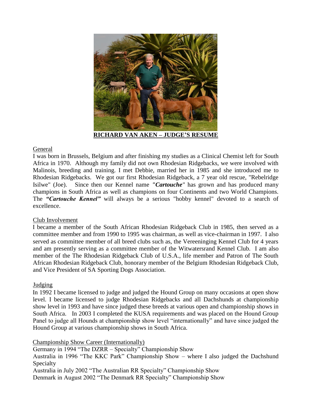

**RICHARD VAN AKEN – JUDGE'S RESUME**

#### General

I was born in Brussels, Belgium and after finishing my studies as a Clinical Chemist left for South Africa in 1970. Although my family did not own Rhodesian Ridgebacks, we were involved with Malinois, breeding and training. I met Debbie, married her in 1985 and she introduced me to Rhodesian Ridgebacks. We got our first Rhodesian Ridgeback, a 7 year old rescue, "Rebelridge Isilwe" (Joe). Since then our Kennel name *"Cartouche"* has grown and has produced many champions in South Africa as well as champions on four Continents and two World Champions. The *"Cartouche Kennel"* will always be a serious "hobby kennel" devoted to a search of excellence.

#### Club Involvement

I became a member of the South African Rhodesian Ridgeback Club in 1985, then served as a committee member and from 1990 to 1995 was chairman, as well as vice-chairman in 1997. I also served as committee member of all breed clubs such as, the Vereeninging Kennel Club for 4 years and am presently serving as a committee member of the Witwatersrand Kennel Club. I am also member of the The Rhodesian Ridgeback Club of U.S.A., life member and Patron of The South African Rhodesian Ridgeback Club, honorary member of the Belgium Rhodesian Ridgeback Club, and Vice President of SA Sporting Dogs Association.

#### Judging

In 1992 I became licensed to judge and judged the Hound Group on many occasions at open show level. I became licensed to judge Rhodesian Ridgebacks and all Dachshunds at championship show level in 1993 and have since judged these breeds at various open and championship shows in South Africa. In 2003 I completed the KUSA requirements and was placed on the Hound Group Panel to judge all Hounds at championship show level "internationally" and have since judged the Hound Group at various championship shows in South Africa.

Championship Show Career (Internationally)

Germany in 1994 "The DZRR – Specialty" Championship Show

Australia in 1996 "The KKC Park" Championship Show – where I also judged the Dachshund Specialty

Australia in July 2002 "The Australian RR Specialty" Championship Show

Denmark in August 2002 "The Denmark RR Specialty" Championship Show